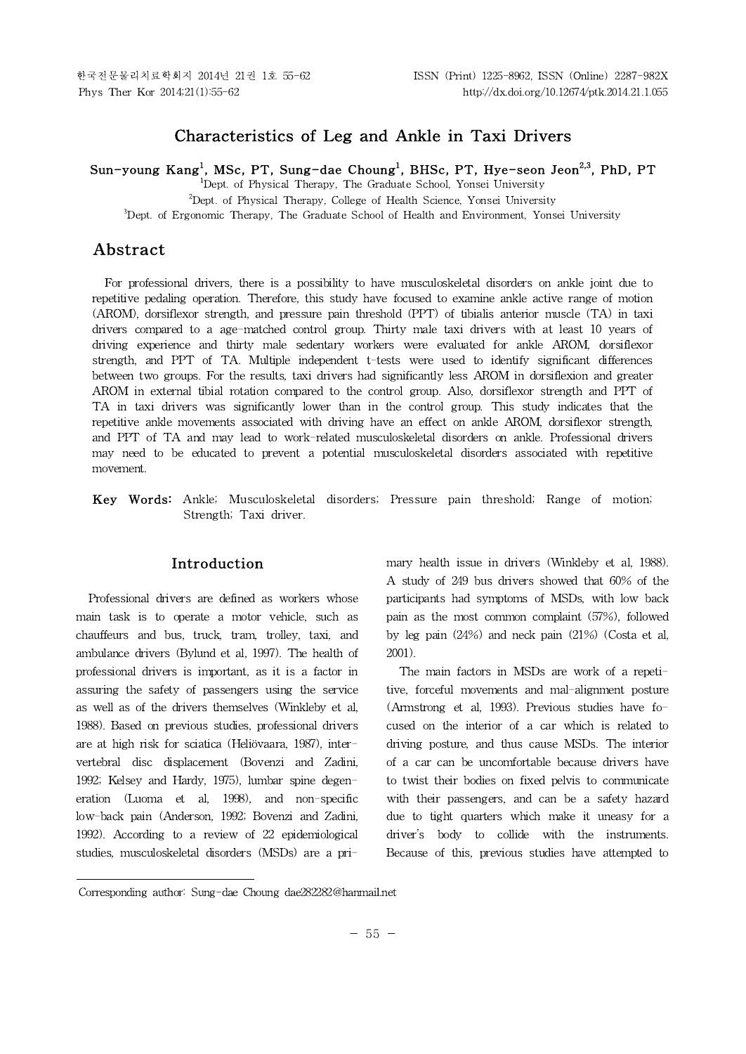한국전문물리치료학회지 2014년 21권 1호 55-62 ISSN (Print) 1225-8962, ISSN (Online) 2287-982X

# **Characteristics of Leg and Ankle in Taxi Drivers**

**Sun-young Kang<sup>1</sup> , MSc, PT, Sung-dae Choung<sup>1</sup> , BHSc, PT, Hye-seon Jeon2,3 , PhD, PT**

<sup>1</sup>Dept. of Physical Therapy, The Graduate School, Yonsei University

<sup>2</sup>Dept. of Physical Therapy, College of Health Science, Yonsei University

<sup>3</sup>Dept. of Ergonomic Therapy, The Graduate School of Health and Environment, Yonsei University

# **Abstract1)**

For professional drivers, there is a possibility to have musculoskeletal disorders on ankle joint due to repetitive pedaling operation. Therefore, this study have focused to examine ankle active range of motion (AROM), dorsiflexor strength, and pressure pain threshold (PPT) of tibialis anterior muscle (TA) in taxi drivers compared to a age-matched control group. Thirty male taxi drivers with at least 10 years of driving experience and thirty male sedentary workers were evaluated for ankle AROM, dorsiflexor strength, and PPT of TA.Multiple independent t-tests were used to identify significant differences between two groups. For the results, taxi drivers had significantly less AROM in dorsiflexion and greater AROM in external tibial rotation compared to the control group. Also, dorsiflexor strength and PPT of TA in taxi drivers was significantly lower than in the control group. This study indicates that the repetitive ankle movements associated with driving have an effect on ankle AROM, dorsiflexor strength, and PPT of TA and may lead to work-related musculoskeletal disorders on ankle. Professional drivers may need to be educated to prevent a potential musculoskeletal disorders associated with repetitive movement.

**Key Words:** Ankle; Musculoskeletal disorders; Pressure pain threshold; Range of motion; Strength; Taxi driver.

# **Introduction**

Professional drivers are defined as workers whose main task is to operate a motor vehicle, such as chauffeurs and bus, truck, tram, trolley, taxi, and ambulance drivers (Bylund et al, 1997). The health of professional drivers is important, as it is a factor in assuring the safety of passengers using the service as well as of the drivers themselves (Winkleby et al, 1988). Based on previous studies, professional drivers are at high risk for sciatica (Heliövaara, 1987), intervertebral disc displacement (Bovenzi and Zadini, 1992; Kelsey and Hardy, 1975), lumbar spine degeneration (Luoma et al, 1998), and non-specific low-back pain (Anderson, 1992; Bovenzi and Zadini, 1992). According to a review of 22 epidemiological studies, musculoskeletal disorders (MSDs) are a primary health issue in drivers (Winkleby et al, 1988). A study of 249 bus drivers showed that 60% of the participants had symptoms of MSDs, with low back pain as the most common complaint (57%), followed by leg pain (24%) and neck pain (21%) (Costa et al, 2001).

The main factors in MSDs are work of a repetitive, forceful movements and mal-alignment posture (Armstrong et al, 1993). Previous studies have focused on the interior of a car which is related to driving posture, and thus cause MSDs. The interior of a car can be uncomfortable because drivers have to twist their bodies on fixed pelvis to communicate with their passengers, and can be a safety hazard due to tight quarters which make it uneasy for a driver's body to collide with the instruments. Because of this, previous studies have attempted to

Corresponding author: Sung-dae Choung dae282282@hanmail.net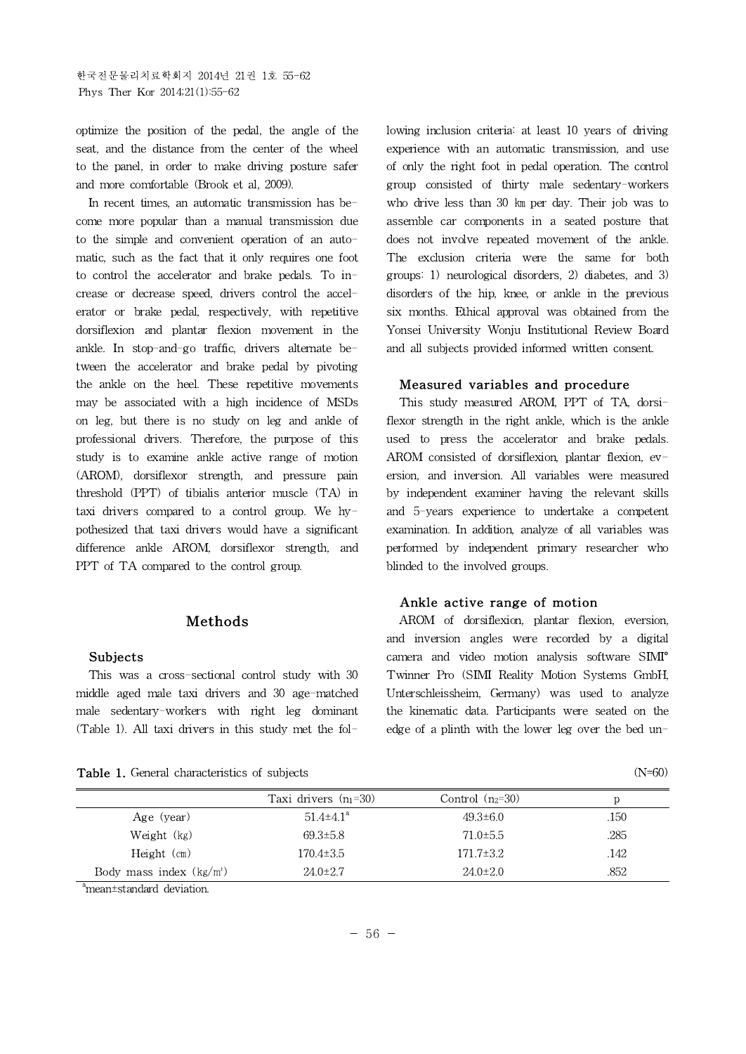optimize the position of the pedal, the angle of the seat, and the distance from the center of the wheel to the panel, in order to make driving posture safer and more comfortable (Brook et al, 2009).

In recent times, an automatic transmission has become more popular than a manual transmission due to the simple and convenient operation of an automatic, such as the fact that it only requires one foot to control the accelerator and brake pedals. To increase or decrease speed, drivers control the accelerator or brake pedal, respectively, with repetitive dorsiflexion and plantar flexion movement in the ankle. In stop-and-go traffic, drivers alternate between the accelerator and brake pedal by pivoting the ankle on the heel. These repetitive movements may be associated with a high incidence of MSDs on leg, but there is no study on leg and ankle of professional drivers. Therefore, the purpose of this study is to examine ankle active range of motion (AROM), dorsiflexor strength, and pressure pain threshold (PPT) of tibialis anterior muscle (TA) in taxi drivers compared to a control group. We hypothesized that taxi drivers would have a significant difference ankle AROM, dorsiflexor strength, and PPT of TA compared to the control group.

### **Methods**

#### **Subjects**

This was a cross-sectional control study with 30 middle aged male taxi drivers and 30 age-matched male sedentary-workers with right leg dominant (Table 1). All taxi drivers in this study met the fol-

Table 1. General characteristics of subjects

lowing inclusion criteria: at least 10 years of driving experience with an automatic transmission, and use of only the right foot in pedal operation. The control group consisted of thirty male sedentary-workers who drive less than 30 km per day. Their job was to assemble car components in a seated posture that does not involve repeated movement of the ankle. The exclusion criteria were the same for both groups: 1) neurological disorders, 2) diabetes, and 3) disorders of the hip, knee, or ankle in the previous six months. Ethical approval was obtained from the Yonsei University Wonju Institutional Review Board and all subjects provided informed written consent.

#### **Measured variables and procedure**

This study measured AROM, PPT of TA, dorsiflexor strength in the right ankle, which is the ankle used to press the accelerator and brake pedals. AROM consisted of dorsiflexion, plantar flexion,  $ev$ ersion, and inversion. All variables were measured by independent examiner having the relevant skills and 5-years experience to undertake a competent examination. In addition, analyze of all variables was performed by independent primary researcher who blinded to the involved groups.

#### **Ankle active range of motion**

AROM of dorsiflexion, plantar flexion, eversion, and inversion angles were recorded by a digital camera and video motion analysis software SIMI° Twinner Pro (SIMI Reality Motion Systems GmbH, Unterschleissheim, Germany) was used to analyze the kinematic data. Participants were seated on the edge of a plinth with the lower leg over the bed un-

|--|

|                           | Taxi drivers $(n_1=30)$     | Control $(n_2=30)$ | D    |
|---------------------------|-----------------------------|--------------------|------|
| Age (year)                | $51.4 \pm 4.1$ <sup>a</sup> | $49.3 \pm 6.0$     | .150 |
| Weight (kg)               | $69.3 \pm 5.8$              | $71.0 \pm 5.5$     | .285 |
| Height $(m)$              | $170.4 \pm 3.5$             | $171.7 \pm 3.2$    | .142 |
| Body mass index $(kg/m2)$ | $24.0 \pm 2.7$              | $24.0 \pm 2.0$     | .852 |
|                           |                             |                    |      |

<sup>a</sup>mean±standard deviation.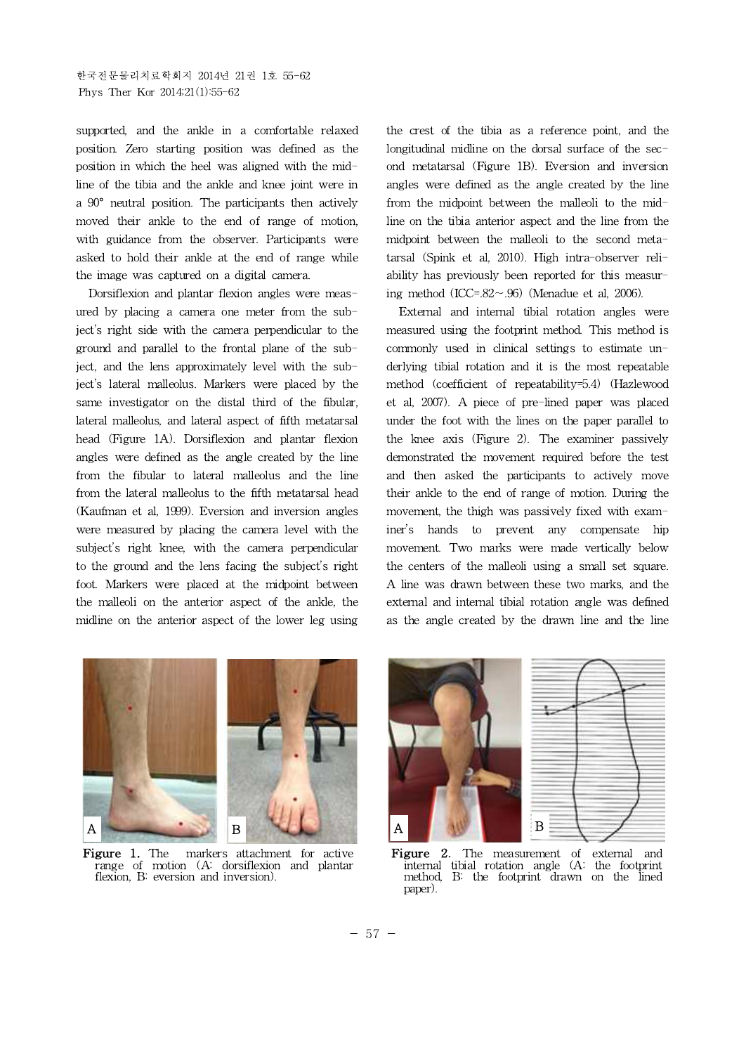supported, and the ankle in a comfortable relaxed position. Zero starting position was defined as the position in which the heel was aligned with the midline of the tibia and the ankle and knee joint were in a 90° neutral position. The participants then actively moved their ankle to the end of range of motion, with guidance from the observer. Participants were asked to hold their ankle at the end of range while the image was captured on a digital camera.

Dorsiflexion and plantar flexion angles were measured by placing a camera one meter from the subject's right side with the camera perpendicular to the ground and parallel to the frontal plane of the subject, and the lens approximately level with the subject's lateral malleolus. Markers were placed by the same investigator on the distal third of the fibular, lateral malleolus, and lateral aspect of fifth metatarsal head (Figure 1A). Dorsiflexion and plantar flexion angles were defined as the angle created by the line from the fibular to lateral malleolus and the line from the lateral malleolus to the fifth metatarsal head (Kaufman et al, 1999). Eversion and inversion angles were measured by placing the camera level with the subject's right knee, with the camera perpendicular to the ground and the lens facing the subject's right foot. Markers were placed at the midpoint between the malleoli on the anterior aspect of the ankle, the midline on the anterior aspect of the lower leg using the crest of the tibia as a reference point, and the longitudinal midline on the dorsal surface of the second metatarsal (Figure 1B). Eversion and inversion angles were defined as the angle created by the line from the midpoint between the malleoli to the midline on the tibia anterior aspect and the line from the midpoint between the malleoli to the second metatarsal (Spink et al, 2010). High intra-observer reliability has previously been reported for this measuring method (ICC=.82∼.96) (Menadue et al, 2006).

External and internal tibial rotation angles were measured using the footprint method. This method is commonly used in clinical settings to estimate underlying tibial rotation and it is the most repeatable method (coefficient of repeatability=5.4) (Hazlewood et al, 2007). A piece of pre-lined paper was placed under the foot with the lines on the paper parallel to the knee axis (Figure 2). The examiner passively demonstrated the movement required before the test and then asked the participants to actively move their ankle to the end of range of motion. During the movement, the thigh was passively fixed with examiner's hands to prevent any compensate hip movement. Two marks were made vertically below the centers of the malleoli using a small set square. A line was drawn between these two marks, and the external and internal tibial rotation angle was defined as the angle created by the drawn line and the line



**Figure 1.** The markers attachment for active **Figure 2.** range of motion (A: dorsiflexion and plantar flexion, B: eversion and inversion).



The measurement of external internal tibial rotation angle (A: the footprint method, B: the footprint drawn on the lined paper).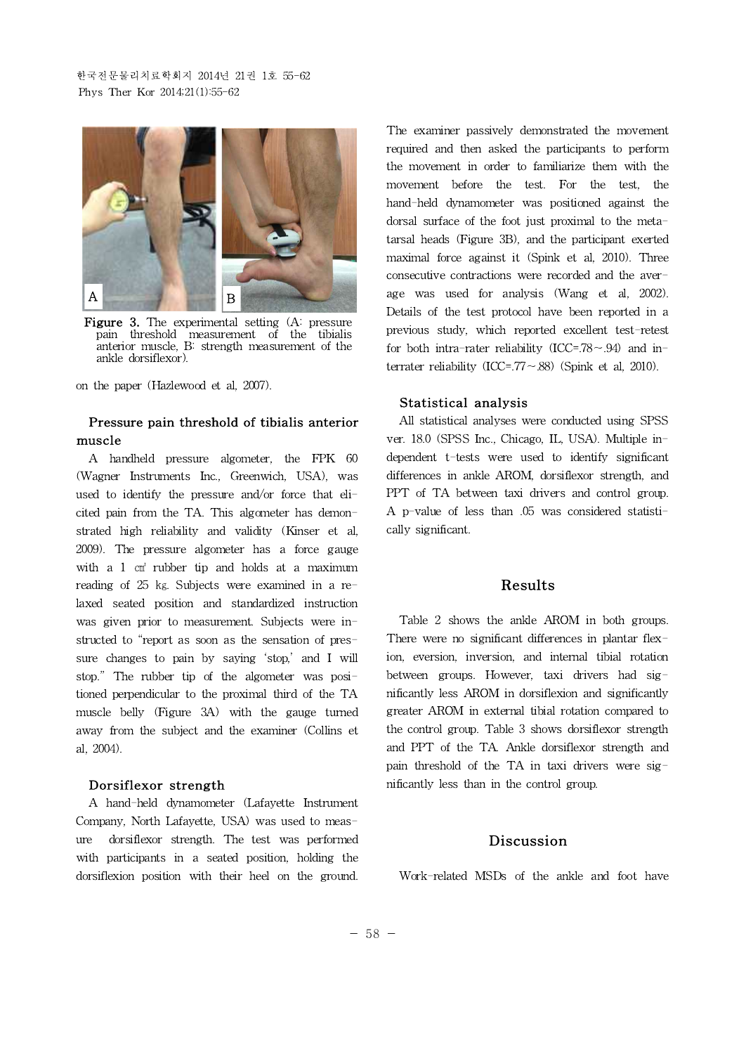

Figure 3. The experimental setting (A: pressure pain threshold measurement of the tibialis anterior muscle, B: strength measurement of the ankle dorsiflexor).

on the paper (Hazlewood et al, 2007).

## **Pressure pain threshold of tibialis anterior muscle**

A handheld pressure algometer, the FPK 60 (Wagner Instruments Inc., Greenwich, USA), was used to identify the pressure and/or force that elicited pain from the TA. This algometer has demonstrated high reliability and validity (Kinser et al, 2009). The pressure algometer has a force gauge with a 1 cm<sup>2</sup> rubber tip and holds at a maximum reading of 25 ㎏. Subjects were examined in a relaxed seated position and standardized instruction was given prior to measurement. Subjects were instructed to "report as soon as the sensation of pressure changes to pain by saying 'stop,' and I will stop." The rubber tip of the algometer was positioned perpendicular to the proximal third of the TA muscle belly (Figure 3A) with the gauge turned away from the subject and the examiner (Collins et al, 2004).

#### **Dorsiflexor strength**

A hand-held dynamometer (Lafayette Instrument Company, North Lafayette, USA) was used to measure dorsiflexor strength. The test was performed with participants in a seated position, holding the dorsiflexion position with their heel on the ground.

The examiner passively demonstrated the movement required and then asked the participants to perform the movement in order to familiarize them with the movement before the test. For the test, the hand-held dynamometer was positioned against the dorsal surface of the foot just proximal to the metatarsal heads (Figure 3B), and the participant exerted maximal force against it (Spink et al, 2010). Three consecutive contractions were recorded and the average was used for analysis (Wang et al, 2002). Details of the test protocol have been reported in a previous study, which reported excellent test-retest for both intra-rater reliability (ICC=.78∼.94) and interrater reliability (ICC=.77∼.88) (Spink et al, 2010).

#### **Statistical analysis**

All statistical analyses were conducted using SPSS ver. 18.0 (SPSS Inc., Chicago, IL, USA). Multiple independent t-tests were used to identify significant differences in ankle AROM, dorsiflexor strength, and PPT of TA between taxi drivers and control group. A p-value of less than .05 was considered statistically significant.

# **Results**

Table 2 shows the ankle AROM in both groups. There were no significant differences in plantar flexion, eversion, inversion, and internal tibial rotation between groups. However, taxi drivers had significantly less AROM in dorsiflexion and significantly greater AROM in external tibial rotation compared to the control group. Table 3 shows dorsiflexor strength and PPT of the TA. Ankle dorsiflexor strength and pain threshold of the TA in taxi drivers were significantly less than in the control group.

### **Discussion**

Work-related MSDs of the ankle and foot have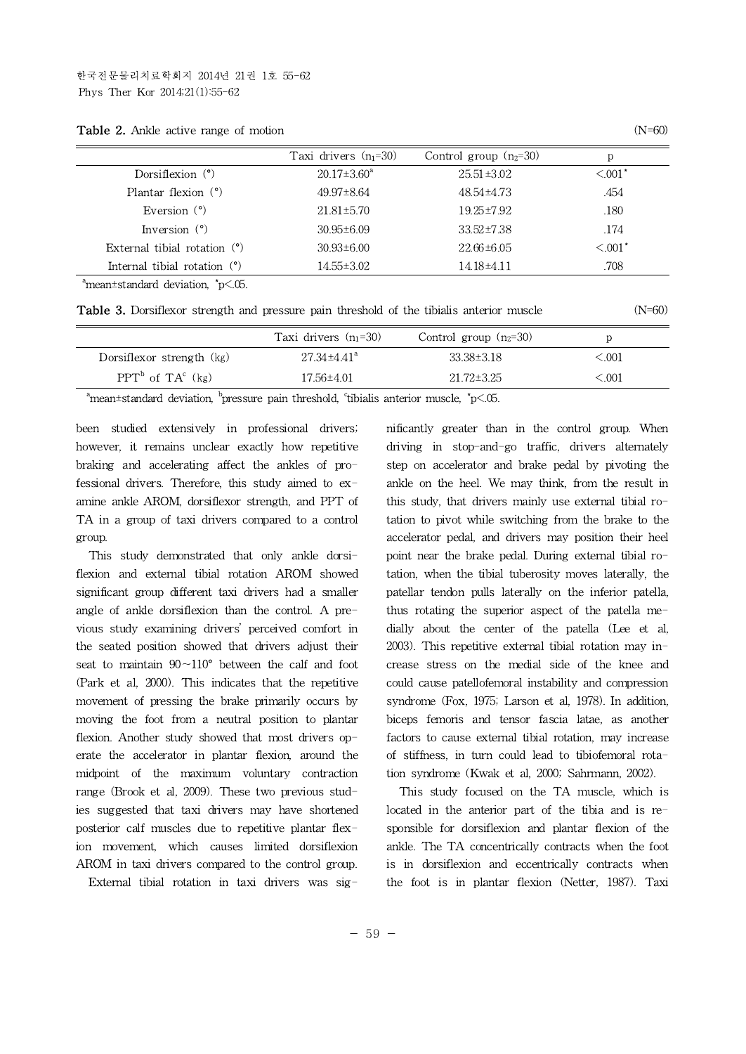|                                | Taxi drivers $(n_1=30)$  | Control group $(n_2=30)$ | р           |
|--------------------------------|--------------------------|--------------------------|-------------|
| Dorsiflexion $(°)$             | $20.17 \pm 3.60^{\circ}$ | 25.51±3.02               | $\leq 0.01$ |
| Plantar flexion $(°)$          | $49.97 \pm 8.64$         | 48.54±4.73               | .454        |
| Eversion $(°)$                 | $21.81 \pm 5.70$         | $19.25 \pm 7.92$         | .180        |
| Inversion $(°)$                | $30.95 \pm 6.09$         | $33.52 \pm 7.38$         | .174        |
| External tibial rotation $(°)$ | $30.93\pm6.00$           | $22.66 \pm 6.05$         | $< 0.01$ *  |
| Internal tibial rotation $(°)$ | $14.55 \pm 3.02$         | 14.18±4.11               | .708        |
|                                |                          |                          |             |

**Table 2.** Ankle active range of motion (N=60)

 $^{\circ}$ mean±standard deviation,  $^{\circ}$ p<.05.

**Table 3.** Dorsiflexor strength and pressure pain threshold of the tibialis anterior muscle (N=60)

|                           | Taxi drivers $(n_1=30)$       | Control group $(n_2=30)$ |             |
|---------------------------|-------------------------------|--------------------------|-------------|
| Dorsiflexor strength (kg) | $27.34 \pm 4.41$ <sup>a</sup> | $33.38 \pm 3.18$         | ${<}001$    |
| $PPT^b$ of $TA^c$ (kg)    | 17.56±4.01                    | $21.72 \pm 3.25$         | $<\!\!.001$ |

<sup>a</sup>mean±standard deviation, <sup>b</sup>pressure pain threshold, <sup>c</sup>tibialis anterior muscle,  $\check{}p$ <.05.

been studied extensively in professional drivers; however, it remains unclear exactly how repetitive braking and accelerating affect the ankles of professional drivers. Therefore, this study aimed to examine ankle AROM, dorsiflexor strength, and PPT of TA in a group of taxi drivers compared to a control group.

This study demonstrated that only ankle dorsiflexion and external tibial rotation AROM showed significant group different taxi drivers had a smaller angle of ankle dorsiflexion than the control. A previous study examining drivers' perceived comfort in the seated position showed that drivers adjust their seat to maintain 90∼110° between the calf and foot (Park et al, 2000). This indicates that the repetitive movement of pressing the brake primarily occurs by moving the foot from a neutral position to plantar flexion. Another study showed that most drivers operate the accelerator in plantar flexion, around the midpoint of the maximum voluntary contraction range (Brook et al, 2009). These two previous studies suggested that taxi drivers may have shortened posterior calf muscles due to repetitive plantar flexion movement, which causes limited dorsiflexion AROM in taxi drivers compared to the control group.

External tibial rotation in taxi drivers was sig-

nificantly greater than in the control group. When driving in stop-and-go traffic, drivers alternately step on accelerator and brake pedal by pivoting the ankle on the heel. We may think, from the result in this study, that drivers mainly use external tibial rotation to pivot while switching from the brake to the accelerator pedal, and drivers may position their heel point near the brake pedal. During external tibial rotation, when the tibial tuberosity moves laterally, the patellar tendon pulls laterally on the inferior patella, thus rotating the superior aspect of the patella medially about the center of the patella (Lee et al, 2003). This repetitive external tibial rotation may increase stress on the medial side of the knee and could cause patellofemoral instability and compression syndrome (Fox, 1975; Larson et al, 1978). In addition, biceps femoris and tensor fascia latae, as another factors to cause external tibial rotation, may increase of stiffness, in turn could lead to tibiofemoral rotation syndrome (Kwak et al, 2000; Sahrmann, 2002).

This study focused on the TA muscle, which is located in the anterior part of the tibia and is responsible for dorsiflexion and plantar flexion of the ankle. The TA concentrically contracts when the foot is in dorsiflexion and eccentrically contracts when the foot is in plantar flexion (Netter, 1987). Taxi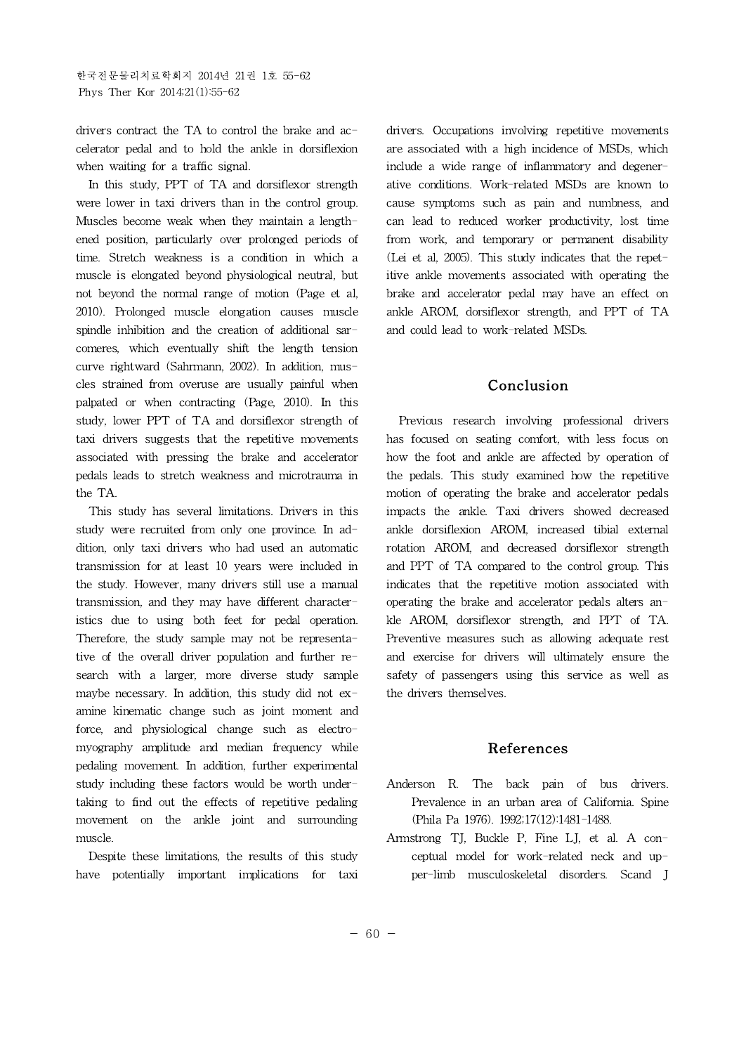drivers contract the TA to control the brake and accelerator pedal and to hold the ankle in dorsiflexion when waiting for a traffic signal.

In this study, PPT of TA and dorsiflexor strength were lower in taxi drivers than in the control group. Muscles become weak when they maintain a lengthened position, particularly over prolonged periods of time. Stretch weakness is a condition in which a muscle is elongated beyond physiological neutral, but not beyond the normal range of motion (Page et al, 2010). Prolonged muscle elongation causes muscle spindle inhibition and the creation of additional sarcomeres, which eventually shift the length tension curve rightward (Sahrmann, 2002). In addition, muscles strained from overuse are usually painful when palpated or when contracting (Page, 2010). In this study, lower PPT of TA and dorsiflexor strength of taxi drivers suggests that the repetitive movements associated with pressing the brake and accelerator pedals leads to stretch weakness and microtrauma in the TA.

This study has several limitations. Drivers in this study were recruited from only one province. In addition, only taxi drivers who had used an automatic transmission for at least 10 years were included in the study. However, many drivers still use a manual transmission, and they may have different characteristics due to using both feet for pedal operation. Therefore, the study sample may not be representative of the overall driver population and further research with a larger, more diverse study sample maybe necessary. In addition, this study did not examine kinematic change such as joint moment and force, and physiological change such as electromyography amplitude and median frequency while pedaling movement. In addition, further experimental study including these factors would be worth undertaking to find out the effects of repetitive pedaling movement on the ankle joint and surrounding muscle.

Despite these limitations, the results of this study have potentially important implications for taxi drivers. Occupations involving repetitive movements are associated with a high incidence of MSDs, which include a wide range of inflammatory and degenerative conditions. Work-related MSDs are known to cause symptoms such as pain and numbness, and can lead to reduced worker productivity, lost time from work, and temporary or permanent disability (Lei et al, 2005). This study indicates that the repetitive ankle movements associated with operating the brake and accelerator pedal may have an effect on ankle AROM, dorsiflexor strength, and PPT of TA and could lead to work-related MSDs.

# **Conclusion**

Previous research involving professional drivers has focused on seating comfort, with less focus on how the foot and ankle are affected by operation of the pedals. This study examined how the repetitive motion of operating the brake and accelerator pedals impacts the ankle. Taxi drivers showed decreased ankle dorsiflexion AROM, increased tibial external rotation AROM, and decreased dorsiflexor strength and PPT of TA compared to the control group. This indicates that the repetitive motion associated with operating the brake and accelerator pedals alters ankle AROM, dorsiflexor strength, and PPT of TA. Preventive measures such as allowing adequate rest and exercise for drivers will ultimately ensure the safety of passengers using this service as well as the drivers themselves.

### **References**

- Anderson R. The back pain of bus drivers. Prevalence in an urban area of California. Spine (Phila Pa 1976). 1992;17(12):1481-1488.
- Armstrong TJ, Buckle P, Fine LJ, et al. A conceptual model for work-related neck and upper-limb musculoskeletal disorders. Scand J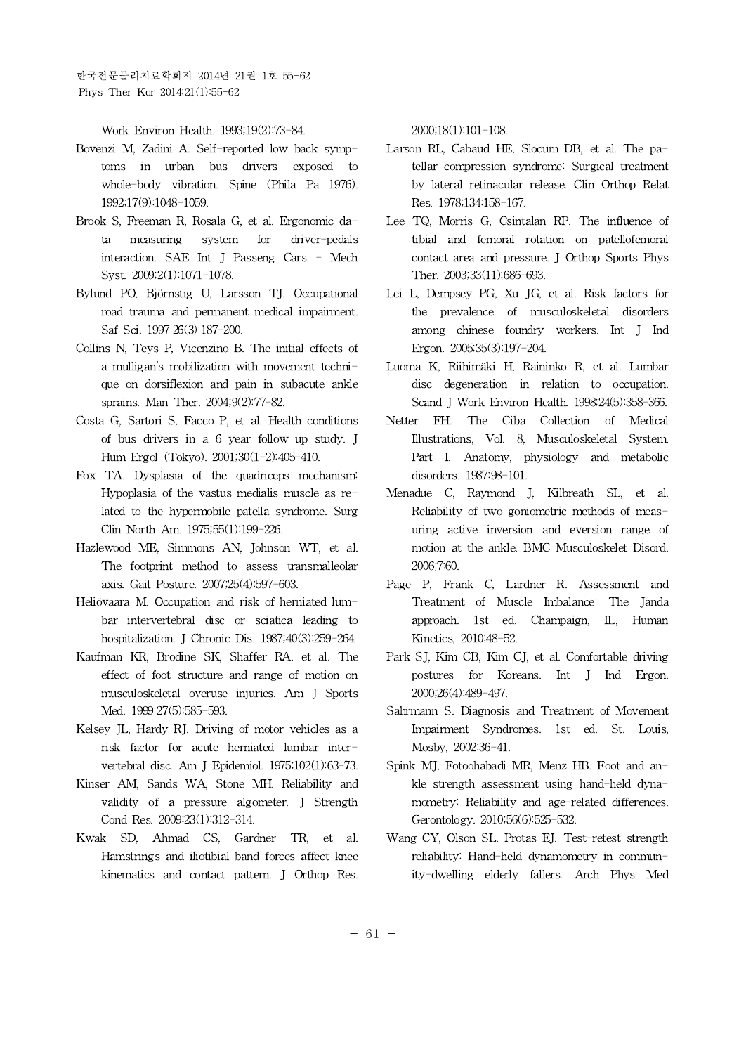한국전문물리치료학회지 2014년 21권 1호 55-62 Phys Ther Kor 2014;21(1):55-62

Work Environ Health. 1993;19(2):73-84.

- Bovenzi M, Zadini A. Self-reported low back symptoms in urban bus drivers exposed to whole-body vibration. Spine (Phila Pa 1976). 1992;17(9):1048-1059.
- Brook S, Freeman R, Rosala G, et al. Ergonomic data measuring system for driver-pedals interaction. SAE Int J Passeng Cars - Mech Syst. 2009;2(1):1071-1078.
- Bylund PO,Björnstig U, Larsson TJ. Occupational road trauma and permanent medical impairment. Saf Sci. 1997;26(3):187-200.
- Collins N, Teys P, Vicenzino B. The initial effects of a mulligan's mobilization with movement technique on dorsiflexion and pain in subacute ankle sprains. Man Ther. 2004;9(2):77-82.
- Costa G, Sartori S, Facco P, et al. Health conditions of bus drivers in a 6 year follow up study. J Hum Ergol (Tokyo). 2001;30(1-2):405-410.
- Fox TA. Dysplasia of the quadriceps mechanism: Hypoplasia of the vastus medialis muscle as related to the hypermobile patella syndrome. Surg Clin North Am. 1975;55(1):199-226.
- Hazlewood ME, Simmons AN, Johnson WT, et al. The footprint method to assess transmalleolar axis. Gait Posture. 2007;25(4):597-603.
- Heliövaara M. Occupation and risk of herniated lumbar intervertebral disc or sciatica leading to hospitalization. J Chronic Dis. 1987;40(3):259-264.
- Kaufman KR, Brodine SK, Shaffer RA, et al. The effect of foot structure and range of motion on musculoskeletal overuse injuries. Am J Sports Med. 1999;27(5):585-593.
- Kelsey JL, Hardy RJ. Driving of motor vehicles as a risk factor for acute herniated lumbar intervertebral disc. Am J Epidemiol. 1975;102(1):63-73.
- Kinser AM, Sands WA, Stone MH. Reliability and validity of a pressure algometer. J Strength Cond Res. 2009;23(1):312-314.
- Kwak SD, Ahmad CS, Gardner TR, et al. Hamstrings and iliotibial band forces affect knee kinematics and contact pattern. J Orthop Res.

2000;18(1):101-108.

- Larson RL, Cabaud HE, Slocum DB, et al. The patellar compression syndrome: Surgical treatment by lateral retinacular release. Clin Orthop Relat Res. 1978;134:158-167.
- Lee TQ, Morris G, Csintalan RP. The influence of tibial and femoral rotation on patellofemoral contact area and pressure. J Orthop Sports Phys Ther. 2003;33(11):686-693.
- Lei L, Dempsey PG, Xu JG, et al. Risk factors for the prevalence of musculoskeletal disorders among chinese foundry workers. Int J Ind Ergon. 2005;35(3):197-204.
- Luoma K, Riihimäki H, Raininko R, et al. Lumbar disc degeneration in relation to occupation. Scand J Work Environ Health. 1998;24(5):358-366.
- FH. The Ciba Collection of Medical Illustrations, Vol. 8, Musculoskeletal System, Part I. Anatomy, physiology and metabolic disorders. 1987:98-101.
- Menadue C, Raymond J, Kilbreath SL, et al. Reliability of two goniometric methods of measuring active inversion and eversion range of motion at the ankle. BMC Musculoskelet Disord. 2006;7:60.
- Page P, Frank C, Lardner R. Assessment and Treatment of Muscle Imbalance: The Janda approach. 1st ed. Champaign, IL, Human Kinetics, 2010:48-52.
- Park SJ, Kim CB, Kim CJ, et al. Comfortable driving postures for Koreans. Int J Ind Ergon. 2000;26(4):489-497.
- Sahrmann S. Diagnosis and Treatment of Movement Impairment Syndromes. 1st ed. St. Louis, Mosby, 2002:36-41.
- Spink MJ, Fotoohabadi MR, Menz HB. Foot and ankle strength assessment using hand-held dynamometry: Reliability and age-related differences. Gerontology. 2010;56(6):525-532.
- Wang CY, Olson SL, Protas EJ. Test-retest strength reliability: Hand-held dynamometry in community-dwelling elderly fallers. Arch Phys Med